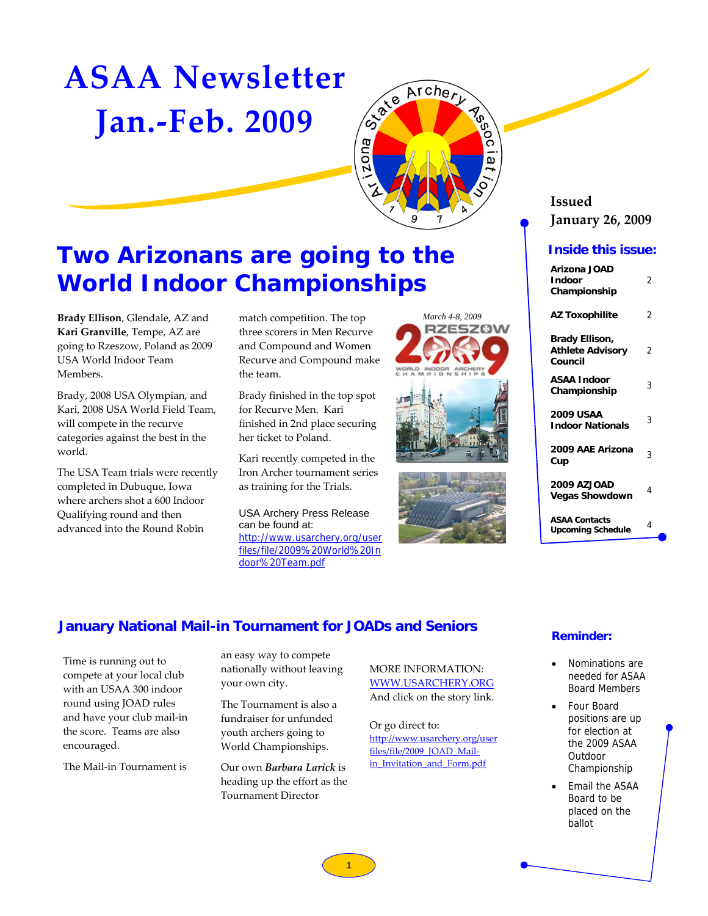# **ASAA Newsletter Jan.‐Feb. 2009**



## **Two Arizonans are going to the World Indoor Championships**

**Brady Ellison**, Glendale, AZ and **Kari Granville**, Tempe, AZ are going to Rzeszow, Poland as 2009 USA World Indoor Team Members.

Brady, 2008 USA Olympian, and Kari, 2008 USA World Field Team, will compete in the recurve categories against the best in the world.

The USA Team trials were recently completed in Dubuque, Iowa where archers shot a 600 Indoor Qualifying round and then advanced into the Round Robin

match competition. The top three scorers in Men Recurve and Compound and Women Recurve and Compound make the team.

Brady finished in the top spot for Recurve Men. Kari finished in 2nd place securing her ticket to Poland.

Kari recently competed in the Iron Archer tournament series as training for the Trials.

USA Archery Press Release can be found at: [http://www.usarchery.org/user](http://www.usarchery.org/userfiles/file/2009%20World%20Indoor%20Team.pdf) files/file/2009%20World%20In door%20Team.pdf







### **Issued January 26, 2009**

### **Inside this issue:**

| Arizona JOAD<br><b>Indoor</b><br>Championship        | 2 |
|------------------------------------------------------|---|
| <b>AZ Toxophilite</b>                                | 2 |
| Brady Ellison,<br><b>Athlete Advisory</b><br>Council | 2 |
| <b>ASAA Indoor</b><br>Championship                   | 3 |
| <b>2009 USAA</b><br><b>Indoor Nationals</b>          | 3 |
| 2009 AAE Arizona<br>Cup                              | 3 |
| <b>2009 AZJOAD</b><br><b>Vegas Showdown</b>          | 4 |
| <b>ASAA Contacts</b><br><b>Upcoming Schedule</b>     | 4 |

### **January National Mail-in Tournament for JOADs and Seniors**

Time is running out to compete at your local club with an USAA 300 indoor round using JOAD rules and have your club mail‐in the score. Teams are also encouraged.

The Mail‐in Tournament is

an easy way to compete nationally without leaving your own city.

The Tournament is also a fundraiser for unfunded youth archers going to World Championships.

Our own *Barbara Larick* is heading up the effort as the Tournament Director

MORE INFORMATION: [WWW.USARCHERY.ORG](http://www.usarchery.org) And click on the story link.

Or go direct to: [http://www.usarchery.org/user](http://www.usarchery.org/userfiles/file/2009_JOAD_Mail-in_Invitation_and_Form.pdf) files/file/2009\_JOAD\_Mailin Invitation and Form.pdf

### **Reminder:**

- Nominations are needed for ASAA Board Members
- Four Board positions are up for election at the 2009 ASAA **Outdoor** Championship
- Email the ASAA Board to be placed on the ballot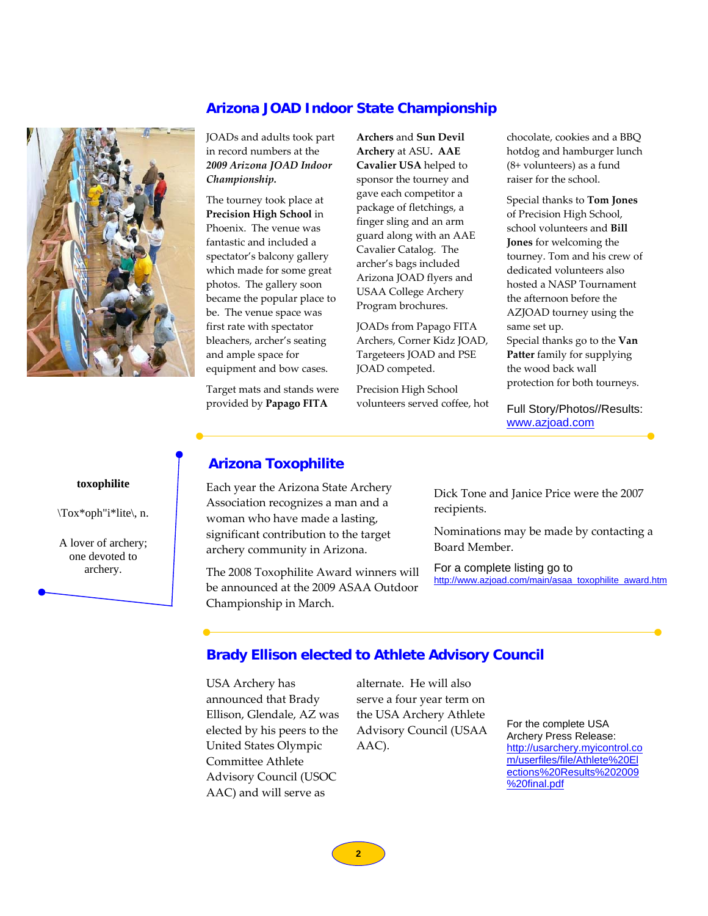### **Arizona JOAD Indoor State Championship**



JOADs and adults took part in record numbers at the *2009 Arizona JOAD Indoor Championship.*

The tourney took place at **Precision High School** in Phoenix. The venue was fantastic and included a spectator's balcony gallery which made for some great photos. The gallery soon became the popular place to be. The venue space was first rate with spectator bleachers, archer's seating and ample space for equipment and bow cases.

Target mats and stands were provided by **Papago FITA**

**Archers** and **Sun Devil Archery** at ASU**. AAE Cavalier USA** helped to sponsor the tourney and gave each competitor a package of fletchings, a finger sling and an arm guard along with an AAE Cavalier Catalog. The archer's bags included Arizona JOAD flyers and USAA College Archery Program brochures.

JOADs from Papago FITA Archers, Corner Kidz JOAD, Targeteers JOAD and PSE JOAD competed.

Precision High School volunteers served coffee, hot chocolate, cookies and a BBQ hotdog and hamburger lunch (8+ volunteers) as a fund raiser for the school.

Special thanks to **Tom Jones** of Precision High School, school volunteers and **Bill Jones** for welcoming the tourney. Tom and his crew of dedicated volunteers also hosted a NASP Tournament the afternoon before the AZJOAD tourney using the same set up. Special thanks go to the **Van**

**Patter** family for supplying the wood back wall protection for both tourneys.

Full Story/Photos//Results: [www.azjoad.com](http://www.azjoad.com)

### **Arizona Toxophilite**

Each year the Arizona State Archery Association recognizes a man and a woman who have made a lasting, significant contribution to the target archery community in Arizona.

The 2008 Toxophilite Award winners will be announced at the 2009 ASAA Outdoor Championship in March.

Dick Tone and Janice Price were the 2007 recipients.

Nominations may be made by contacting a Board Member.

For a complete listing go to [http://www.azjoad.com/main/asaa\\_toxophilite\\_award.htm](http://www.azjoad.com/main/asaa_toxophilite_award.htm)

### **Brady Ellison elected to Athlete Advisory Council**

USA Archery has announced that Brady Ellison, Glendale, AZ was elected by his peers to the United States Olympic Committee Athlete Advisory Council (USOC AAC) and will serve as

alternate. He will also serve a four year term on the USA Archery Athlete Advisory Council (USAA AAC).

For the complete USA Archery Press Release: [http://usarchery.myicontrol.co](http://usarchery.myicontrol.com/userfiles/file/Athlete%20Elections%20Results%202009%20final.pdf) m/userfiles/file/Athlete%20El ections%20Results%202009 %20final.pdf

**toxophilite**

\Tox\*oph"i\*lite\, n.

A lover of archery; one devoted to archery.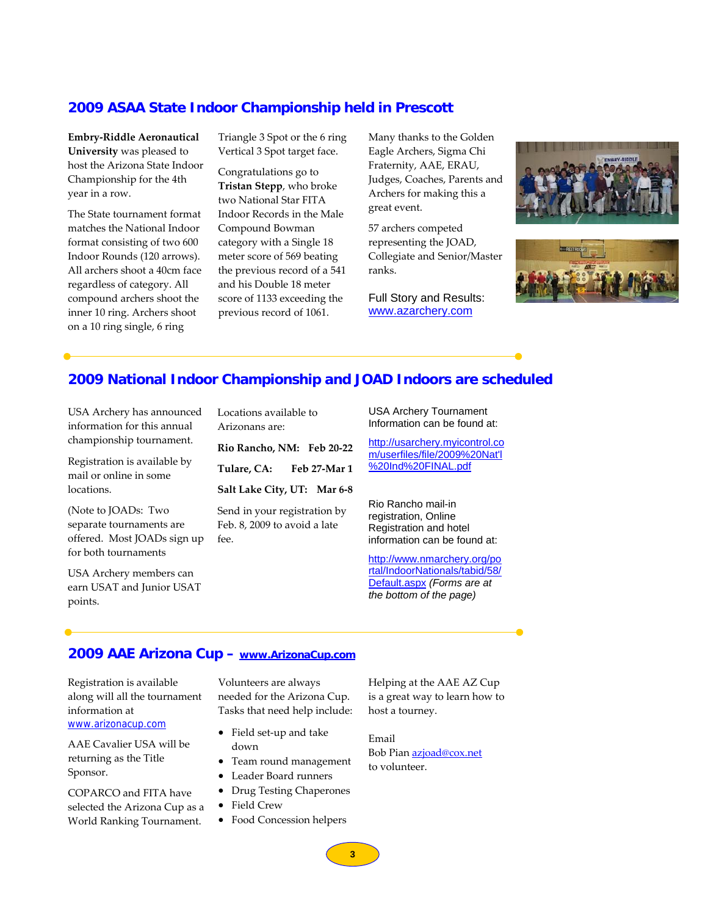### **2009 ASAA State Indoor Championship held in Prescott**

**Embry‐Riddle Aeronautical University** was pleased to host the Arizona State Indoor Championship for the 4th year in a row.

The State tournament format matches the National Indoor format consisting of two 600 Indoor Rounds (120 arrows). All archers shoot a 40cm face regardless of category. All compound archers shoot the inner 10 ring. Archers shoot on a 10 ring single, 6 ring

Triangle 3 Spot or the 6 ring Vertical 3 Spot target face.

Congratulations go to **Tristan Stepp**, who broke two National Star FITA Indoor Records in the Male Compound Bowman category with a Single 18 meter score of 569 beating the previous record of a 541 and his Double 18 meter score of 1133 exceeding the previous record of 1061.

Many thanks to the Golden Eagle Archers, Sigma Chi Fraternity, AAE, ERAU, Judges, Coaches, Parents and Archers for making this a great event.

57 archers competed representing the JOAD, Collegiate and Senior/Master ranks.

Full Story and Results: [www.azarchery.com](http://www.azarchery.com) 





### **2009 National Indoor Championship and JOAD Indoors are scheduled**

USA Archery has announced information for this annual championship tournament.

Registration is available by mail or online in some locations.

(Note to JOADs: Two separate tournaments are offered. Most JOADs sign up for both tournaments

USA Archery members can earn USAT and Junior USAT points.

Locations available to Arizonans are:

**Rio Rancho, NM: Feb 20‐22 Tulare, CA: Feb 27‐Mar 1 Salt Lake City, UT: Mar 6‐8**

Send in your registration by Feb. 8, 2009 to avoid a late  $f_{\rho\rho}$ 

USA Archery Tournament Information can be found at:

[http://usarchery.myicontrol.co](http://usarchery.myicontrol.com/userfiles/file/2009%20Nat) m/userfiles/file/2009%20Nat'l %20Ind%20FINAL.pdf

Rio Rancho mail-in registration, Online Registration and hotel information can be found at:

http://www.nmarchery.org/po [rtal/IndoorNationals/tabid/58/](http://www.nmarchery.org/portal/IndoorNationals/tabid/58/Default.aspx) Default.aspx *(Forms are at the bottom of the page)*

### **2009 AAE Arizona Cup [– www.ArizonaCup.com](http://www.arizonacup.com)**

Registration is available along will all the tournament information at [www.arizonacup.com](http://www.arizonacup.com)

AAE Cavalier USA will be returning as the Title Sponsor.

COPARCO and FITA have selected the Arizona Cup as a World Ranking Tournament.

Volunteers are always needed for the Arizona Cup. Tasks that need help include:

- Field set‐up and take down
- Team round management
- Leader Board runners
- Drug Testing Chaperones
- Field Crew
- Food Concession helpers

Helping at the AAE AZ Cup is a great way to learn how to host a tourney.

Email Bob Pian [azjoad@cox.net](mailto:azjoad@cox.net) to volunteer.